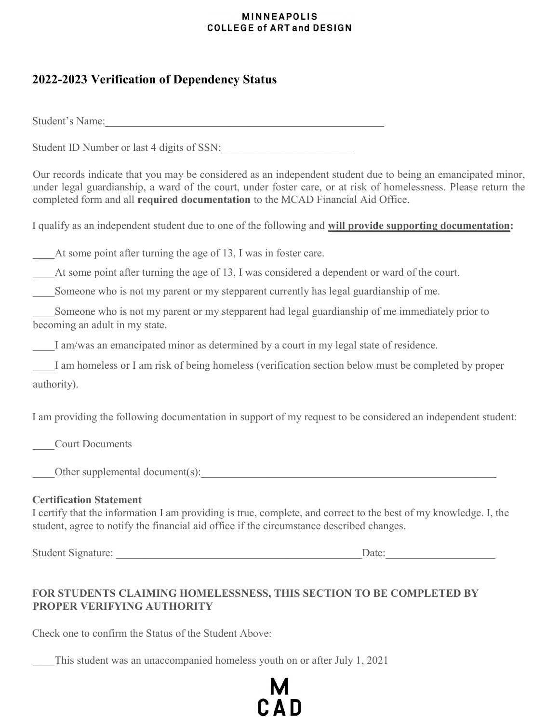### **MINNEAPOLIS COLLEGE of ART and DESIGN**

# 2022-2023 Verification of Dependency Status

Student's Name:

Student ID Number or last 4 digits of SSN:

Our records indicate that you may be considered as an independent student due to being an emancipated minor, under legal guardianship, a ward of the court, under foster care, or at risk of homelessness. Please return the completed form and all required documentation to the MCAD Financial Aid Office.

I qualify as an independent student due to one of the following and will provide supporting documentation:

At some point after turning the age of 13, I was in foster care.

At some point after turning the age of 13, I was considered a dependent or ward of the court.

Someone who is not my parent or my stepparent currently has legal guardianship of me.

Someone who is not my parent or my stepparent had legal guardianship of me immediately prior to becoming an adult in my state.

I am/was an emancipated minor as determined by a court in my legal state of residence.

I am homeless or I am risk of being homeless (verification section below must be completed by proper authority).

I am providing the following documentation in support of my request to be considered an independent student:

\_\_\_\_Court Documents

Other supplemental document(s):

## Certification Statement

I certify that the information I am providing is true, complete, and correct to the best of my knowledge. I, the student, agree to notify the financial aid office if the circumstance described changes.

Student Signature: \_\_\_\_\_\_\_\_\_\_\_\_\_\_\_\_\_\_\_\_\_\_\_\_\_\_\_\_\_\_\_\_\_\_\_\_\_\_\_\_\_\_\_\_\_Date:\_\_\_\_\_\_\_\_\_\_\_\_\_\_\_\_\_\_\_\_

# FOR STUDENTS CLAIMING HOMELESSNESS, THIS SECTION TO BE COMPLETED BY PROPER VERIFYING AUTHORITY

Check one to confirm the Status of the Student Above:

This student was an unaccompanied homeless youth on or after July 1, 2021